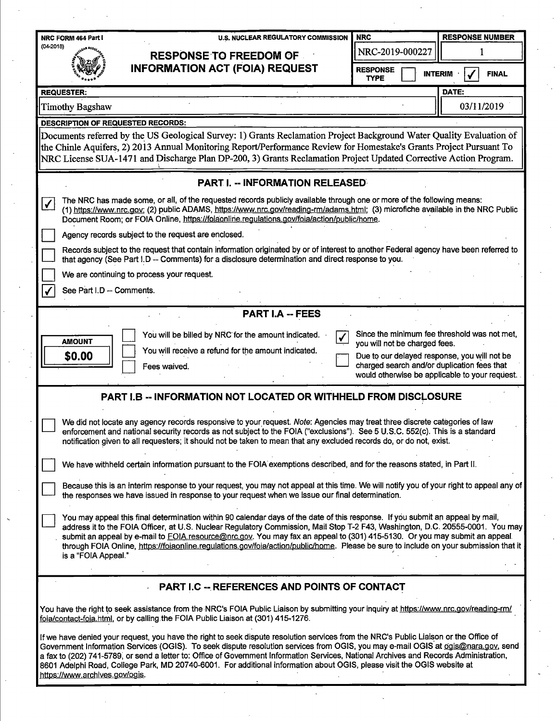| NRC FORM 464 Part I                      | <b>U.S. NUCLEAR REGULATORY COMMISSION</b>                                                                                                                                                                                                                                                                                                                                                                                                                                                                                                       | <b>NRC</b>                                                                    | <b>RESPONSE NUMBER</b> |  |
|------------------------------------------|-------------------------------------------------------------------------------------------------------------------------------------------------------------------------------------------------------------------------------------------------------------------------------------------------------------------------------------------------------------------------------------------------------------------------------------------------------------------------------------------------------------------------------------------------|-------------------------------------------------------------------------------|------------------------|--|
| $(04-2018)$                              | <b>RESPONSE TO FREEDOM OF</b>                                                                                                                                                                                                                                                                                                                                                                                                                                                                                                                   | NRC-2019-000227                                                               |                        |  |
|                                          | <b>INFORMATION ACT (FOIA) REQUEST</b>                                                                                                                                                                                                                                                                                                                                                                                                                                                                                                           | <b>RESPONSE</b><br><b>INTERIM</b><br><b>FINAL</b><br><b>TYPE</b>              |                        |  |
| <b>REQUESTER:</b>                        |                                                                                                                                                                                                                                                                                                                                                                                                                                                                                                                                                 |                                                                               | DATE:                  |  |
| <b>Timothy Bagshaw</b>                   |                                                                                                                                                                                                                                                                                                                                                                                                                                                                                                                                                 |                                                                               | 03/11/2019             |  |
| <b>DESCRIPTION OF REQUESTED RECORDS:</b> |                                                                                                                                                                                                                                                                                                                                                                                                                                                                                                                                                 |                                                                               |                        |  |
|                                          | Documents referred by the US Geological Survey: 1) Grants Reclamation Project Background Water Quality Evaluation of<br>the Chinle Aquifers, 2) 2013 Annual Monitoring Report/Performance Review for Homestake's Grants Project Pursuant To<br>NRC License SUA-1471 and Discharge Plan DP-200, 3) Grants Reclamation Project Updated Corrective Action Program.                                                                                                                                                                                 |                                                                               |                        |  |
|                                          | <b>PART I. - INFORMATION RELEASED</b>                                                                                                                                                                                                                                                                                                                                                                                                                                                                                                           |                                                                               |                        |  |
| $\blacktriangledown$                     | The NRC has made some, or all, of the requested records publicly available through one or more of the following means:<br>(1) https://www.nrc.gov; (2) public ADAMS, https://www.nrc.gov/reading-rm/adams.html; (3) microfiche available in the NRC Public<br>Document Room; or FOIA Online, https://foiaonline.regulations.gov/foia/action/public/home.                                                                                                                                                                                        |                                                                               |                        |  |
|                                          | Agency records subject to the request are enclosed.                                                                                                                                                                                                                                                                                                                                                                                                                                                                                             |                                                                               |                        |  |
|                                          | Records subject to the request that contain information originated by or of interest to another Federal agency have been referred to<br>that agency (See Part I.D -- Comments) for a disclosure determination and direct response to you.                                                                                                                                                                                                                                                                                                       |                                                                               |                        |  |
|                                          | We are continuing to process your request.                                                                                                                                                                                                                                                                                                                                                                                                                                                                                                      |                                                                               |                        |  |
| See Part I.D -- Comments.                |                                                                                                                                                                                                                                                                                                                                                                                                                                                                                                                                                 |                                                                               |                        |  |
|                                          | <b>PART I.A -- FEES</b>                                                                                                                                                                                                                                                                                                                                                                                                                                                                                                                         |                                                                               |                        |  |
|                                          |                                                                                                                                                                                                                                                                                                                                                                                                                                                                                                                                                 |                                                                               |                        |  |
| <b>AMOUNT</b>                            | You will be billed by NRC for the amount indicated.                                                                                                                                                                                                                                                                                                                                                                                                                                                                                             | Since the minimum fee threshold was not met,<br>you will not be charged fees. |                        |  |
| \$0.00                                   | You will receive a refund for the amount indicated.                                                                                                                                                                                                                                                                                                                                                                                                                                                                                             | Due to our delayed response, you will not be                                  |                        |  |
|                                          | Fees waived.                                                                                                                                                                                                                                                                                                                                                                                                                                                                                                                                    | charged search and/or duplication fees that                                   |                        |  |
|                                          |                                                                                                                                                                                                                                                                                                                                                                                                                                                                                                                                                 | would otherwise be applicable to your request.                                |                        |  |
|                                          | <b>PART I.B -- INFORMATION NOT LOCATED OR WITHHELD FROM DISCLOSURE</b>                                                                                                                                                                                                                                                                                                                                                                                                                                                                          |                                                                               |                        |  |
|                                          | We did not locate any agency records responsive to your request. Note: Agencies may treat three discrete categories of law<br>enforcement and national security records as not subject to the FOIA ("exclusions"). See 5 U.S.C. 552(c). This is a standard<br>notification given to all requesters; it should not be taken to mean that any excluded records do, or do not, exist.                                                                                                                                                              |                                                                               |                        |  |
|                                          | We have withheld certain information pursuant to the FOIA exemptions described, and for the reasons stated, in Part II.                                                                                                                                                                                                                                                                                                                                                                                                                         |                                                                               |                        |  |
|                                          | Because this is an interim response to your request, you may not appeal at this time. We will notify you of your right to appeal any of<br>the responses we have issued in response to your request when we issue our final determination.                                                                                                                                                                                                                                                                                                      |                                                                               |                        |  |
| is a "FOIA Appeal."                      | You may appeal this final determination within 90 calendar days of the date of this response. If you submit an appeal by mail,<br>address it to the FOIA Officer, at U.S. Nuclear Regulatory Commission, Mail Stop T-2 F43, Washington, D.C. 20555-0001. You may<br>submit an appeal by e-mail to FOIA resource@nrc.gov. You may fax an appeal to (301) 415-5130. Or you may submit an appeal.<br>through FOIA Online, https://foiaonline.regulations.gov/foia/action/public/home. Please be sure to include on your submission that it         |                                                                               |                        |  |
|                                          |                                                                                                                                                                                                                                                                                                                                                                                                                                                                                                                                                 |                                                                               |                        |  |
|                                          | PART I.C -- REFERENCES AND POINTS OF CONTACT                                                                                                                                                                                                                                                                                                                                                                                                                                                                                                    |                                                                               |                        |  |
|                                          | You have the right to seek assistance from the NRC's FOIA Public Liaison by submitting your inquiry at https://www.nrc.gov/reading-rm/<br>foia/contact-foia.html, or by calling the FOIA Public Liaison at (301) 415-1276.                                                                                                                                                                                                                                                                                                                      |                                                                               |                        |  |
| https://www.archives.gov/ogis.           | If we have denied your request, you have the right to seek dispute resolution services from the NRC's Public Liaison or the Office of<br>Government Information Services (OGIS). To seek dispute resolution services from OGIS, you may e-mail OGIS at ogis@nara.gov, send<br>a fax to (202) 741-5789, or send a letter to: Office of Government Information Services, National Archives and Records Administration,<br>8601 Adelphi Road, College Park, MD 20740-6001. For additional information about OGIS, please visit the OGIS website at |                                                                               |                        |  |

 $\frac{1}{2}$ 

 $\lambda_{\rm{max}}$ 

 $\frac{1}{2}$